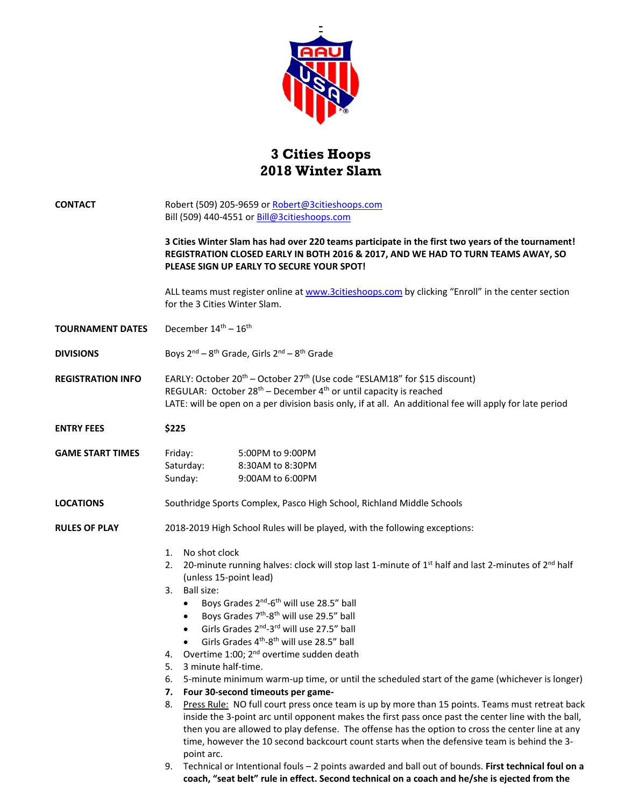

## **3 Cities Hoops 2018 Winter Slam**

| <b>CONTACT</b>           | Robert (509) 205-9659 or Robert@3citieshoops.com<br>Bill (509) 440-4551 or Bill@3citieshoops.com<br>3 Cities Winter Slam has had over 220 teams participate in the first two years of the tournament!<br>REGISTRATION CLOSED EARLY IN BOTH 2016 & 2017, AND WE HAD TO TURN TEAMS AWAY, SO<br>PLEASE SIGN UP EARLY TO SECURE YOUR SPOT!                                                                                                                                                                                                                                                                                                                                                                                                                                                                                                                                                                                                                                                                                                                                                                                                                                                             |  |
|--------------------------|----------------------------------------------------------------------------------------------------------------------------------------------------------------------------------------------------------------------------------------------------------------------------------------------------------------------------------------------------------------------------------------------------------------------------------------------------------------------------------------------------------------------------------------------------------------------------------------------------------------------------------------------------------------------------------------------------------------------------------------------------------------------------------------------------------------------------------------------------------------------------------------------------------------------------------------------------------------------------------------------------------------------------------------------------------------------------------------------------------------------------------------------------------------------------------------------------|--|
|                          |                                                                                                                                                                                                                                                                                                                                                                                                                                                                                                                                                                                                                                                                                                                                                                                                                                                                                                                                                                                                                                                                                                                                                                                                    |  |
|                          | ALL teams must register online at www.3citieshoops.com by clicking "Enroll" in the center section<br>for the 3 Cities Winter Slam.                                                                                                                                                                                                                                                                                                                                                                                                                                                                                                                                                                                                                                                                                                                                                                                                                                                                                                                                                                                                                                                                 |  |
| <b>TOURNAMENT DATES</b>  | December 14 <sup>th</sup> - 16 <sup>th</sup>                                                                                                                                                                                                                                                                                                                                                                                                                                                                                                                                                                                                                                                                                                                                                                                                                                                                                                                                                                                                                                                                                                                                                       |  |
| <b>DIVISIONS</b>         | Boys $2^{nd} - 8^{th}$ Grade, Girls $2^{nd} - 8^{th}$ Grade                                                                                                                                                                                                                                                                                                                                                                                                                                                                                                                                                                                                                                                                                                                                                                                                                                                                                                                                                                                                                                                                                                                                        |  |
| <b>REGISTRATION INFO</b> | EARLY: October 20 <sup>th</sup> – October 27 <sup>th</sup> (Use code "ESLAM18" for \$15 discount)<br>REGULAR: October 28 <sup>th</sup> – December 4 <sup>th</sup> or until capacity is reached<br>LATE: will be open on a per division basis only, if at all. An additional fee will apply for late period                                                                                                                                                                                                                                                                                                                                                                                                                                                                                                                                                                                                                                                                                                                                                                                                                                                                                         |  |
| <b>ENTRY FEES</b>        | \$225                                                                                                                                                                                                                                                                                                                                                                                                                                                                                                                                                                                                                                                                                                                                                                                                                                                                                                                                                                                                                                                                                                                                                                                              |  |
| <b>GAME START TIMES</b>  | 5:00PM to 9:00PM<br>Friday:<br>Saturday:<br>8:30AM to 8:30PM<br>Sunday:<br>9:00AM to 6:00PM                                                                                                                                                                                                                                                                                                                                                                                                                                                                                                                                                                                                                                                                                                                                                                                                                                                                                                                                                                                                                                                                                                        |  |
| <b>LOCATIONS</b>         | Southridge Sports Complex, Pasco High School, Richland Middle Schools                                                                                                                                                                                                                                                                                                                                                                                                                                                                                                                                                                                                                                                                                                                                                                                                                                                                                                                                                                                                                                                                                                                              |  |
| <b>RULES OF PLAY</b>     | 2018-2019 High School Rules will be played, with the following exceptions:                                                                                                                                                                                                                                                                                                                                                                                                                                                                                                                                                                                                                                                                                                                                                                                                                                                                                                                                                                                                                                                                                                                         |  |
|                          | No shot clock<br>1.<br>2. 20-minute running halves: clock will stop last 1-minute of $1^{st}$ half and last 2-minutes of $2^{nd}$ half<br>(unless 15-point lead)<br>3. Ball size:<br>Boys Grades 2 <sup>nd</sup> -6 <sup>th</sup> will use 28.5" ball<br>$\bullet$<br>Boys Grades 7 <sup>th</sup> -8 <sup>th</sup> will use 29.5" ball<br>$\bullet$<br>Girls Grades 2 <sup>nd</sup> -3 <sup>rd</sup> will use 27.5" ball<br>$\bullet$<br>Girls Grades 4 <sup>th</sup> -8 <sup>th</sup> will use 28.5" ball<br>$\bullet$<br>4. Overtime 1:00; 2 <sup>nd</sup> overtime sudden death<br>3 minute half-time.<br>5.<br>5-minute minimum warm-up time, or until the scheduled start of the game (whichever is longer)<br>6.<br>Four 30-second timeouts per game-<br>7.<br>Press Rule: NO full court press once team is up by more than 15 points. Teams must retreat back<br>8.<br>inside the 3-point arc until opponent makes the first pass once past the center line with the ball,<br>then you are allowed to play defense. The offense has the option to cross the center line at any<br>time, however the 10 second backcourt count starts when the defensive team is behind the 3-<br>point arc. |  |
|                          | Technical or Intentional fouls - 2 points awarded and ball out of bounds. First technical foul on a<br>9.<br>coach, "seat belt" rule in effect. Second technical on a coach and he/she is ejected from the                                                                                                                                                                                                                                                                                                                                                                                                                                                                                                                                                                                                                                                                                                                                                                                                                                                                                                                                                                                         |  |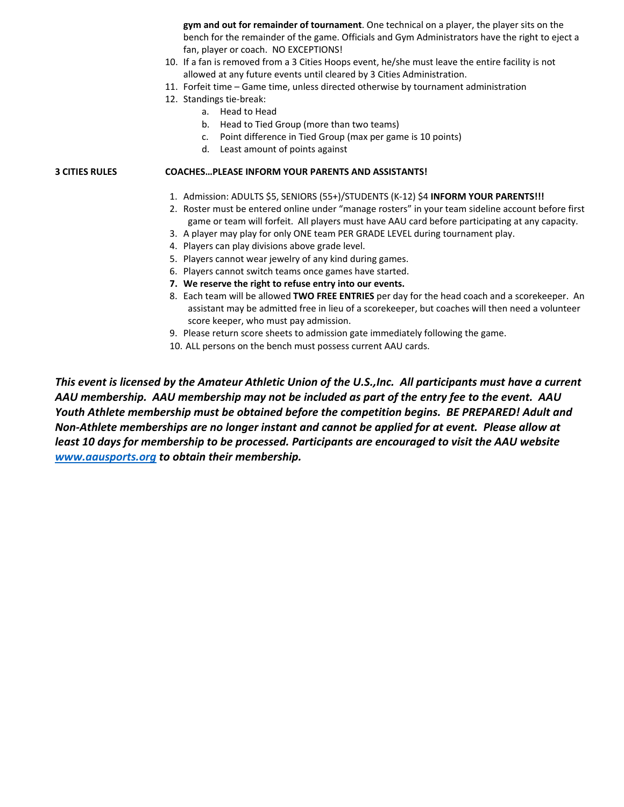**gym and out for remainder of tournament**. One technical on a player, the player sits on the bench for the remainder of the game. Officials and Gym Administrators have the right to eject a fan, player or coach. NO EXCEPTIONS!

- 10. If a fan is removed from a 3 Cities Hoops event, he/she must leave the entire facility is not allowed at any future events until cleared by 3 Cities Administration.
- 11. Forfeit time Game time, unless directed otherwise by tournament administration
- 12. Standings tie‐break:
	- a. Head to Head
	- b. Head to Tied Group (more than two teams)
	- c. Point difference in Tied Group (max per game is 10 points)
	- d. Least amount of points against

## **3 CITIES RULES COACHES…PLEASE INFORM YOUR PARENTS AND ASSISTANTS!**

- 1. Admission: ADULTS \$5, SENIORS (55+)/STUDENTS (K‐12) \$4 **INFORM YOUR PARENTS!!!**
- 2. Roster must be entered online under "manage rosters" in your team sideline account before first game or team will forfeit. All players must have AAU card before participating at any capacity.
- 3. A player may play for only ONE team PER GRADE LEVEL during tournament play.
- 4. Players can play divisions above grade level.
- 5. Players cannot wear jewelry of any kind during games.
- 6. Players cannot switch teams once games have started.
- **7. We reserve the right to refuse entry into our events.**
- 8. Each team will be allowed **TWO FREE ENTRIES** per day for the head coach and a scorekeeper. An assistant may be admitted free in lieu of a scorekeeper, but coaches will then need a volunteer score keeper, who must pay admission.
- 9. Please return score sheets to admission gate immediately following the game.
- 10. ALL persons on the bench must possess current AAU cards.

*This event is licensed by the Amateur Athletic Union of the U.S.,Inc. All participants must have a current AAU membership. AAU membership may not be included as part of the entry fee to the event. AAU Youth Athlete membership must be obtained before the competition begins. BE PREPARED! Adult and Non‐Athlete memberships are no longer instant and cannot be applied for at event. Please allow at least 10 days for membership to be processed. Participants are encouraged to visit the AAU website www.aausports.org to obtain their membership.*